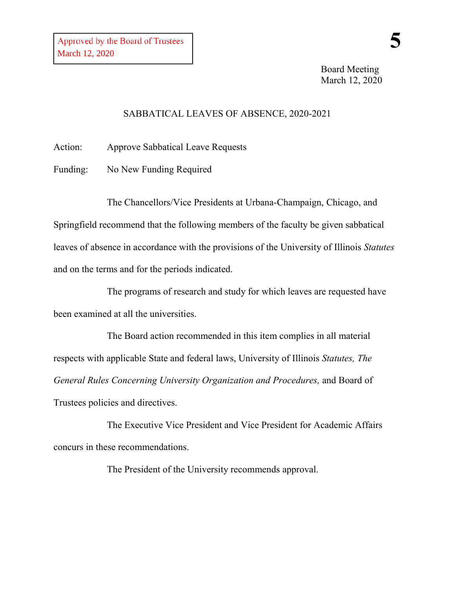Board Meeting March 12, 2020

## SABBATICAL LEAVES OF ABSENCE, 2020-2021

Action: Approve Sabbatical Leave Requests

Funding: No New Funding Required

The Chancellors/Vice Presidents at Urbana-Champaign, Chicago, and Springfield recommend that the following members of the faculty be given sabbatical leaves of absence in accordance with the provisions of the University of Illinois *Statutes* and on the terms and for the periods indicated.

The programs of research and study for which leaves are requested have been examined at all the universities.

The Board action recommended in this item complies in all material respects with applicable State and federal laws, University of Illinois *Statutes, The General Rules Concerning University Organization and Procedures,* and Board of Trustees policies and directives.

The Executive Vice President and Vice President for Academic Affairs concurs in these recommendations.

The President of the University recommends approval.